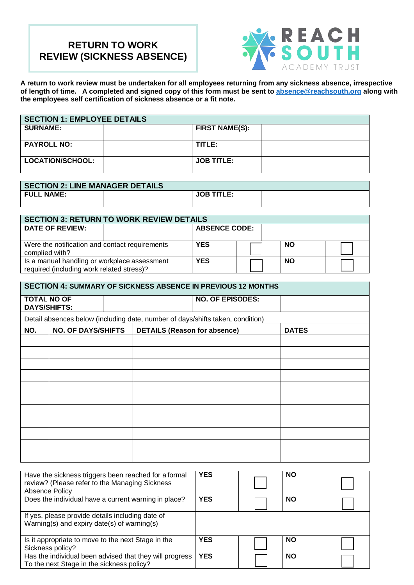# **RETURN TO WORK REVIEW (SICKNESS ABSENCE)**



**A return to work review must be undertaken for all employees returning from any sickness absence, irrespective of length of time. A completed and signed copy of this form must be sent to [absence@reachsouth.org](mailto:absence@reachsouth.org) along with the employees self certification of sickness absence or a fit note.**

| <b>SECTION 1: EMPLOYEE DETAILS</b> |  |                       |  |  |  |
|------------------------------------|--|-----------------------|--|--|--|
| <b>SURNAME:</b>                    |  | <b>FIRST NAME(S):</b> |  |  |  |
|                                    |  |                       |  |  |  |
| <b>PAYROLL NO:</b>                 |  | TITLE:                |  |  |  |
|                                    |  |                       |  |  |  |
| LOCATION/SCHOOL:                   |  | <b>JOB TITLE:</b>     |  |  |  |
|                                    |  |                       |  |  |  |

| <b>SECTION 2: LINE MANAGER DETAILS</b> |  |                   |  |  |  |
|----------------------------------------|--|-------------------|--|--|--|
| <b>FULL NAME:</b>                      |  | <b>JOB TITLE:</b> |  |  |  |
|                                        |  |                   |  |  |  |

| <b>SECTION 3: RETURN TO WORK REVIEW DETAILS</b> |                      |  |           |  |  |  |
|-------------------------------------------------|----------------------|--|-----------|--|--|--|
| <b>DATE OF REVIEW:</b>                          | <b>ABSENCE CODE:</b> |  |           |  |  |  |
|                                                 |                      |  |           |  |  |  |
| Were the notification and contact requirements  | <b>YES</b>           |  | <b>NO</b> |  |  |  |
| complied with?                                  |                      |  |           |  |  |  |
| Is a manual handling or workplace assessment    | <b>YES</b>           |  | <b>NO</b> |  |  |  |
| required (including work related stress)?       |                      |  |           |  |  |  |

| <b>SECTION 4: SUMMARY OF SICKNESS ABSENCE IN PREVIOUS 12 MONTHS</b> |                                                                                  |  |                                                                                |  |  |
|---------------------------------------------------------------------|----------------------------------------------------------------------------------|--|--------------------------------------------------------------------------------|--|--|
|                                                                     | <b>TOTAL NO OF</b><br><b>DAYS/SHIFTS:</b>                                        |  | <b>NO. OF EPISODES:</b>                                                        |  |  |
|                                                                     |                                                                                  |  | Detail absences below (including date, number of days/shifts taken, condition) |  |  |
| NO.                                                                 | <b>NO. OF DAYS/SHIFTS</b><br><b>DETAILS (Reason for absence)</b><br><b>DATES</b> |  |                                                                                |  |  |
|                                                                     |                                                                                  |  |                                                                                |  |  |
|                                                                     |                                                                                  |  |                                                                                |  |  |
|                                                                     |                                                                                  |  |                                                                                |  |  |
|                                                                     |                                                                                  |  |                                                                                |  |  |
|                                                                     |                                                                                  |  |                                                                                |  |  |
|                                                                     |                                                                                  |  |                                                                                |  |  |
|                                                                     |                                                                                  |  |                                                                                |  |  |
|                                                                     |                                                                                  |  |                                                                                |  |  |
|                                                                     |                                                                                  |  |                                                                                |  |  |
|                                                                     |                                                                                  |  |                                                                                |  |  |
|                                                                     |                                                                                  |  |                                                                                |  |  |

| Have the sickness triggers been reached for a formal<br>review? (Please refer to the Managing Sickness<br>Absence Policy | <b>YES</b> | <b>NO</b> |  |
|--------------------------------------------------------------------------------------------------------------------------|------------|-----------|--|
| Does the individual have a current warning in place?                                                                     | <b>YES</b> | <b>NO</b> |  |
| If yes, please provide details including date of<br>Warning(s) and expiry date(s) of warning(s)                          |            |           |  |
| Is it appropriate to move to the next Stage in the<br>Sickness policy?                                                   | <b>YES</b> | <b>NO</b> |  |
| Has the individual been advised that they will progress<br>To the next Stage in the sickness policy?                     | <b>YES</b> | <b>NO</b> |  |